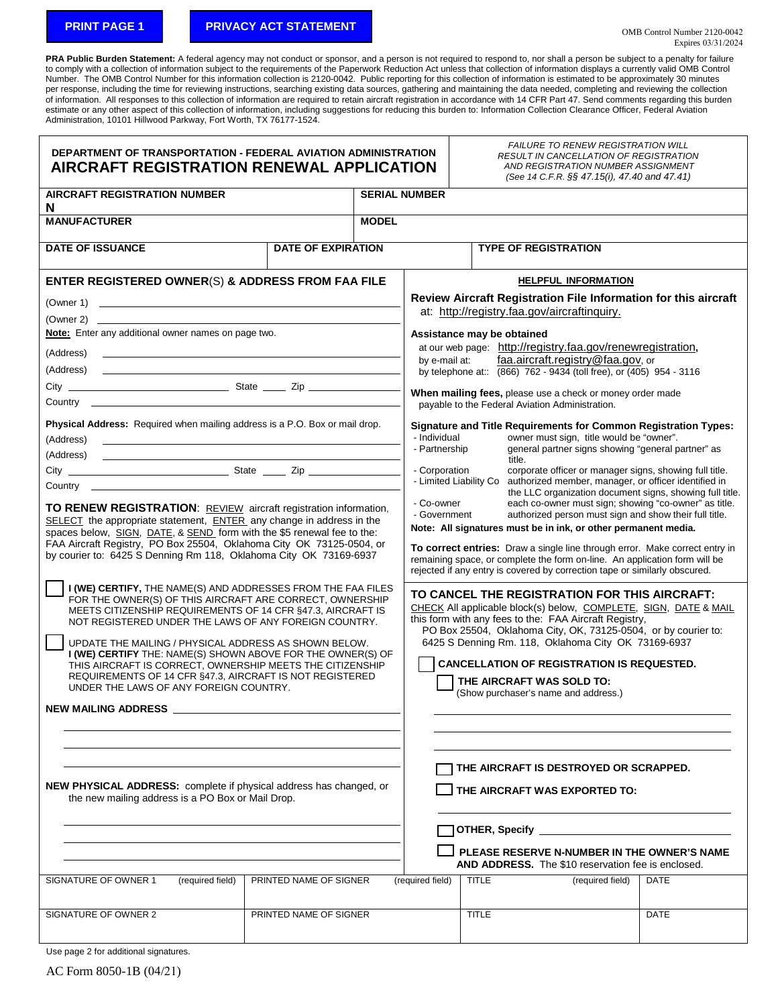## **PRINT PAGE 1 PRIVACY ACT STATEMENT**

PRA Public Burden Statement: A federal agency may not conduct or sponsor, and a person is not required to respond to, nor shall a person be subject to a penalty for failure to comply with a collection of information subject to the requirements of the Paperwork Reduction Act unless that collection of information displays a currently valid OMB Control Number. The OMB Control Number for this information collection is 2120-0042. Public reporting for this collection of information is estimated to be approximately 30 minutes per response, including the time for reviewing instructions, searching existing data sources, gathering and maintaining the data needed, completing and reviewing the collection of information. All responses to this collection of information are required to retain aircraft registration in accordance with 14 CFR Part 47. Send comments regarding this burden estimate or any other aspect of this collection of information, including suggestions for reducing this burden to: Information Collection Clearance Officer, Federal Aviation Administration, 10101 Hillwood Parkway, Fort Worth, TX 76177-1524.

| <b>DEPARTMENT OF TRANSPORTATION - FEDERAL AVIATION ADMINISTRATION</b><br>AIRCRAFT REGISTRATION RENEWAL APPLICATION                                                                                                                                                                                                                                                                                                                                                                                                                          |                           |                      |                                                                                                                                                                                                           |                                                                                                                                                                                                                                                                                                                                                                                                                                                                   | <b>FAILURE TO RENEW REGISTRATION WILL</b><br><b>RESULT IN CANCELLATION OF REGISTRATION</b><br>AND REGISTRATION NUMBER ASSIGNMENT<br>(See 14 C.F.R. §§ 47.15(i), 47.40 and 47.41) |  |  |  |
|---------------------------------------------------------------------------------------------------------------------------------------------------------------------------------------------------------------------------------------------------------------------------------------------------------------------------------------------------------------------------------------------------------------------------------------------------------------------------------------------------------------------------------------------|---------------------------|----------------------|-----------------------------------------------------------------------------------------------------------------------------------------------------------------------------------------------------------|-------------------------------------------------------------------------------------------------------------------------------------------------------------------------------------------------------------------------------------------------------------------------------------------------------------------------------------------------------------------------------------------------------------------------------------------------------------------|----------------------------------------------------------------------------------------------------------------------------------------------------------------------------------|--|--|--|
| <b>AIRCRAFT REGISTRATION NUMBER</b><br>N                                                                                                                                                                                                                                                                                                                                                                                                                                                                                                    |                           | <b>SERIAL NUMBER</b> |                                                                                                                                                                                                           |                                                                                                                                                                                                                                                                                                                                                                                                                                                                   |                                                                                                                                                                                  |  |  |  |
| <b>MANUFACTURER</b>                                                                                                                                                                                                                                                                                                                                                                                                                                                                                                                         |                           | <b>MODEL</b>         |                                                                                                                                                                                                           |                                                                                                                                                                                                                                                                                                                                                                                                                                                                   |                                                                                                                                                                                  |  |  |  |
| <b>DATE OF ISSUANCE</b>                                                                                                                                                                                                                                                                                                                                                                                                                                                                                                                     | <b>DATE OF EXPIRATION</b> |                      |                                                                                                                                                                                                           | <b>TYPE OF REGISTRATION</b>                                                                                                                                                                                                                                                                                                                                                                                                                                       |                                                                                                                                                                                  |  |  |  |
| ENTER REGISTERED OWNER(S) & ADDRESS FROM FAA FILE                                                                                                                                                                                                                                                                                                                                                                                                                                                                                           |                           |                      | <b>HELPFUL INFORMATION</b>                                                                                                                                                                                |                                                                                                                                                                                                                                                                                                                                                                                                                                                                   |                                                                                                                                                                                  |  |  |  |
|                                                                                                                                                                                                                                                                                                                                                                                                                                                                                                                                             |                           |                      | Review Aircraft Registration File Information for this aircraft                                                                                                                                           |                                                                                                                                                                                                                                                                                                                                                                                                                                                                   |                                                                                                                                                                                  |  |  |  |
|                                                                                                                                                                                                                                                                                                                                                                                                                                                                                                                                             |                           |                      | at: http://registry.faa.gov/aircraftinguiry.                                                                                                                                                              |                                                                                                                                                                                                                                                                                                                                                                                                                                                                   |                                                                                                                                                                                  |  |  |  |
| Note: Enter any additional owner names on page two.                                                                                                                                                                                                                                                                                                                                                                                                                                                                                         |                           |                      | Assistance may be obtained<br>at our web page: http://registry.faa.gov/renewregistration,<br>faa.aircraft.registry@faa.gov, or<br>by e-mail at:                                                           |                                                                                                                                                                                                                                                                                                                                                                                                                                                                   |                                                                                                                                                                                  |  |  |  |
| (Address)                                                                                                                                                                                                                                                                                                                                                                                                                                                                                                                                   |                           |                      |                                                                                                                                                                                                           |                                                                                                                                                                                                                                                                                                                                                                                                                                                                   |                                                                                                                                                                                  |  |  |  |
| (Address)                                                                                                                                                                                                                                                                                                                                                                                                                                                                                                                                   |                           |                      | by telephone at:: (866) 762 - 9434 (toll free), or (405) 954 - 3116                                                                                                                                       |                                                                                                                                                                                                                                                                                                                                                                                                                                                                   |                                                                                                                                                                                  |  |  |  |
|                                                                                                                                                                                                                                                                                                                                                                                                                                                                                                                                             |                           |                      |                                                                                                                                                                                                           |                                                                                                                                                                                                                                                                                                                                                                                                                                                                   | When mailing fees, please use a check or money order made<br>payable to the Federal Aviation Administration.                                                                     |  |  |  |
| Physical Address: Required when mailing address is a P.O. Box or mail drop.<br>(Address)<br><u> 1980 - Andrea Barbara, amerikan personal (h. 1980).</u><br>(Address)                                                                                                                                                                                                                                                                                                                                                                        |                           |                      | <b>Signature and Title Requirements for Common Registration Types:</b><br>- Individual<br>owner must sign, title would be "owner".<br>- Partnership<br>general partner signs showing "general partner" as |                                                                                                                                                                                                                                                                                                                                                                                                                                                                   |                                                                                                                                                                                  |  |  |  |
| title.<br>- Corporation                                                                                                                                                                                                                                                                                                                                                                                                                                                                                                                     |                           |                      |                                                                                                                                                                                                           | corporate officer or manager signs, showing full title.                                                                                                                                                                                                                                                                                                                                                                                                           |                                                                                                                                                                                  |  |  |  |
|                                                                                                                                                                                                                                                                                                                                                                                                                                                                                                                                             |                           |                      | - Limited Liability Co authorized member, manager, or officer identified in<br>the LLC organization document signs, showing full title.                                                                   |                                                                                                                                                                                                                                                                                                                                                                                                                                                                   |                                                                                                                                                                                  |  |  |  |
| TO RENEW REGISTRATION: REVIEW aircraft registration information,<br>SELECT the appropriate statement, ENTER any change in address in the<br>spaces below, SIGN, DATE, & SEND form with the \$5 renewal fee to the:<br>FAA Aircraft Registry, PO Box 25504, Oklahoma City OK 73125-0504, or<br>by courier to: 6425 S Denning Rm 118, Oklahoma City OK 73169-6937                                                                                                                                                                             |                           |                      |                                                                                                                                                                                                           | - Co-owner<br>each co-owner must sign; showing "co-owner" as title.<br>- Government<br>authorized person must sign and show their full title.<br>Note: All signatures must be in ink, or other permanent media.<br><b>To correct entries:</b> Draw a single line through error. Make correct entry in<br>remaining space, or complete the form on-line. An application form will be<br>rejected if any entry is covered by correction tape or similarly obscured. |                                                                                                                                                                                  |  |  |  |
| I (WE) CERTIFY, THE NAME(S) AND ADDRESSES FROM THE FAA FILES<br>FOR THE OWNER(S) OF THIS AIRCRAFT ARE CORRECT, OWNERSHIP<br>MEETS CITIZENSHIP REQUIREMENTS OF 14 CFR §47.3, AIRCRAFT IS<br>NOT REGISTERED UNDER THE LAWS OF ANY FOREIGN COUNTRY.<br>UPDATE THE MAILING / PHYSICAL ADDRESS AS SHOWN BELOW.<br>I (WE) CERTIFY THE: NAME(S) SHOWN ABOVE FOR THE OWNER(S) OF<br>THIS AIRCRAFT IS CORRECT, OWNERSHIP MEETS THE CITIZENSHIP<br>REQUIREMENTS OF 14 CFR §47.3, AIRCRAFT IS NOT REGISTERED<br>UNDER THE LAWS OF ANY FOREIGN COUNTRY. |                           |                      |                                                                                                                                                                                                           | TO CANCEL THE REGISTRATION FOR THIS AIRCRAFT:<br>CHECK All applicable block(s) below, COMPLETE, SIGN, DATE & MAIL<br>this form with any fees to the: FAA Aircraft Registry,<br>PO Box 25504, Oklahoma City, OK, 73125-0504, or by courier to:<br>6425 S Denning Rm. 118, Oklahoma City OK 73169-6937<br><b>CANCELLATION OF REGISTRATION IS REQUESTED.</b><br>THE AIRCRAFT WAS SOLD TO:<br>(Show purchaser's name and address.)                                    |                                                                                                                                                                                  |  |  |  |
| <b>NEW MAILING ADDRESS</b>                                                                                                                                                                                                                                                                                                                                                                                                                                                                                                                  |                           |                      |                                                                                                                                                                                                           |                                                                                                                                                                                                                                                                                                                                                                                                                                                                   |                                                                                                                                                                                  |  |  |  |
| NEW PHYSICAL ADDRESS: complete if physical address has changed, or<br>the new mailing address is a PO Box or Mail Drop.                                                                                                                                                                                                                                                                                                                                                                                                                     |                           |                      |                                                                                                                                                                                                           | THE AIRCRAFT IS DESTROYED OR SCRAPPED.<br>THE AIRCRAFT WAS EXPORTED TO:<br>OTHER, Specify _________________________<br>PLEASE RESERVE N-NUMBER IN THE OWNER'S NAME<br><b>AND ADDRESS.</b> The \$10 reservation fee is enclosed.                                                                                                                                                                                                                                   |                                                                                                                                                                                  |  |  |  |
| SIGNATURE OF OWNER 1<br>(required field)                                                                                                                                                                                                                                                                                                                                                                                                                                                                                                    | PRINTED NAME OF SIGNER    |                      | (required field)                                                                                                                                                                                          | <b>TITLE</b>                                                                                                                                                                                                                                                                                                                                                                                                                                                      | (required field)<br>DATE                                                                                                                                                         |  |  |  |
| SIGNATURE OF OWNER 2                                                                                                                                                                                                                                                                                                                                                                                                                                                                                                                        | PRINTED NAME OF SIGNER    |                      |                                                                                                                                                                                                           | <b>TITLE</b>                                                                                                                                                                                                                                                                                                                                                                                                                                                      | <b>DATE</b>                                                                                                                                                                      |  |  |  |
|                                                                                                                                                                                                                                                                                                                                                                                                                                                                                                                                             |                           |                      |                                                                                                                                                                                                           |                                                                                                                                                                                                                                                                                                                                                                                                                                                                   |                                                                                                                                                                                  |  |  |  |

Use page 2 for additional signatures.